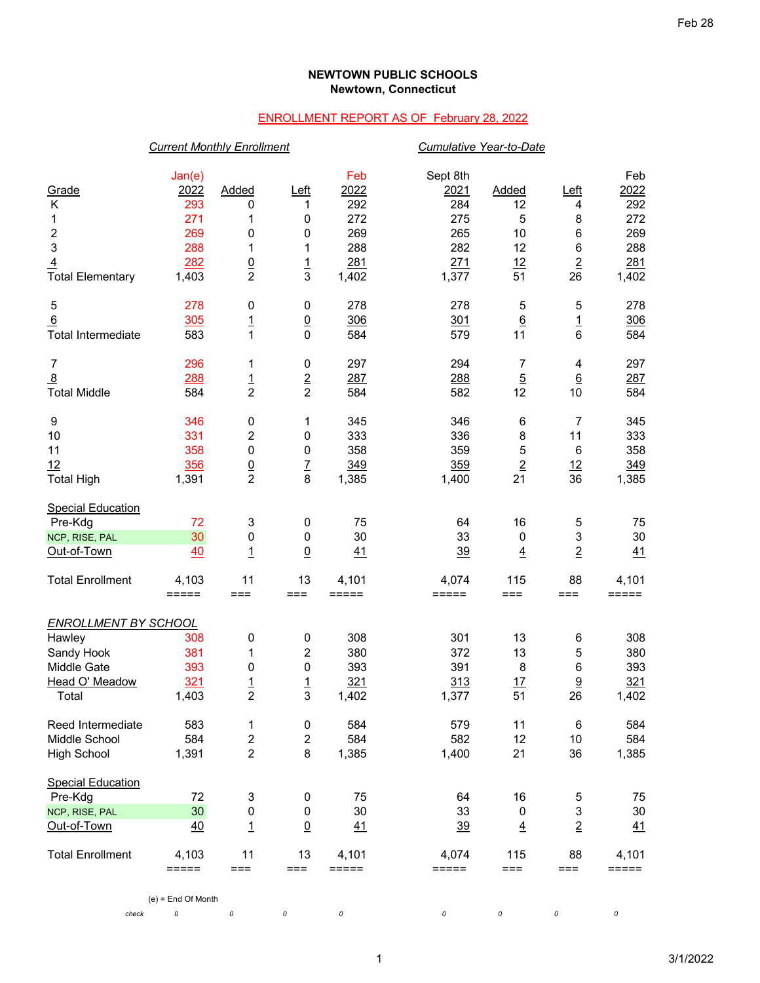## **NEWTOWN PUBLIC SCHOOLS Newtown, Connecticut**

## ENROLLMENT REPORT AS OF February 28, 2022

|                             | <b>Current Monthly Enrollment</b> |                         |                  |                     | <b>Cumulative Year-to-Date</b> |                 |                 |       |
|-----------------------------|-----------------------------------|-------------------------|------------------|---------------------|--------------------------------|-----------------|-----------------|-------|
|                             | Jan(e)                            |                         |                  | Feb                 | Sept 8th                       |                 |                 | Feb   |
| Grade                       | 2022                              | Added                   | $L$ eft          | 2022                | 2021                           | Added           | <u>Left</u>     | 2022  |
| Κ                           | 293                               | 0                       | 1                | 292                 | 284                            | 12              | 4               | 292   |
| 1                           | 271                               | 1                       | 0                | 272                 | 275                            | 5               | 8               | 272   |
| $\boldsymbol{2}$            | 269                               | 0                       | $\pmb{0}$        | 269                 | 265                            | 10              | $\,6$           | 269   |
| $\mathsf 3$                 | 288                               | 1                       | 1                | 288                 | 282                            | 12              | $\,6$           | 288   |
| $\overline{4}$              | 282                               |                         |                  | 281                 | 271                            | 12              | $\overline{2}$  | 281   |
| <b>Total Elementary</b>     | 1,403                             | $\frac{0}{2}$           | $\frac{1}{3}$    | 1,402               | 1,377                          | 51              | 26              | 1,402 |
| $\sqrt{5}$                  | 278                               | 0                       | $\pmb{0}$        | 278                 | 278                            | 5               | 5               | 278   |
| 6                           | 305                               | $\overline{1}$          | $\overline{0}$   | 306                 | 301                            | $\underline{6}$ |                 | 306   |
| <b>Total Intermediate</b>   | 583                               | $\mathbf{1}$            | 0                | 584                 | 579                            | 11              | $\frac{1}{6}$   | 584   |
| $\overline{7}$              | 296                               | 1                       | $\pmb{0}$        | 297                 | 294                            | 7               | 4               | 297   |
| $\overline{8}$              | 288                               | $\frac{1}{2}$           | $\frac{2}{2}$    | 287                 | 288                            | $\overline{5}$  | $\underline{6}$ | 287   |
| <b>Total Middle</b>         | 584                               |                         |                  | 584                 | 582                            | 12              | 10              | 584   |
| 9                           | 346                               | 0                       | 1                | 345                 | 346                            | 6               | 7               | 345   |
| 10                          | 331                               | 2                       | 0                | 333                 | 336                            | 8               | 11              | 333   |
| 11                          | 358                               | $\pmb{0}$               | $\pmb{0}$        | 358                 | 359                            | 5               | $\,6$           | 358   |
| 12                          | 356                               | $\frac{0}{2}$           | $\frac{7}{8}$    | 349                 | 359                            | $\overline{2}$  | <u>12</u>       | 349   |
| <b>Total High</b>           | 1,391                             |                         |                  | 1,385               | 1,400                          | 21              | 36              | 1,385 |
| <b>Special Education</b>    |                                   |                         |                  |                     |                                |                 |                 |       |
| Pre-Kdg                     | 72                                | 3                       | $\pmb{0}$        | 75                  | 64                             | 16              | 5               | 75    |
| NCP, RISE, PAL              | 30                                | $\pmb{0}$               | $\pmb{0}$        | 30                  | 33                             | $\pmb{0}$       | 3               | 30    |
| Out-of-Town                 | 40                                | $\overline{1}$          | $\overline{0}$   | 41                  | 39                             | $\overline{4}$  | $\overline{2}$  | 41    |
| <b>Total Enrollment</b>     | 4,103                             | 11                      | 13               | 4,101               | 4,074                          | 115             | 88              | 4,101 |
|                             | $=$ $=$ $=$ $=$ $=$               | $==$                    | $==$             | $=$ $=$ $=$ $=$ $=$ | $=====$                        | $==$            | ===             | ===== |
| <b>ENROLLMENT BY SCHOOL</b> |                                   |                         |                  |                     |                                |                 |                 |       |
| Hawley                      | 308                               | 0                       | $\pmb{0}$        | 308                 | 301                            | 13              | 6               | 308   |
| Sandy Hook                  | 381                               | 1                       | $\boldsymbol{2}$ | 380                 | 372                            | 13              | 5               | 380   |
| Middle Gate                 | 393                               | 0                       | 0                | 393                 | 391                            | 8               | 6               | 393   |
| Head O' Meadow              | 321                               | <u> 1</u>               | $\overline{1}$   | 321                 | 313                            | 17              | 9               | 321   |
| Total                       | 1,403                             | $\overline{\mathbf{c}}$ | 3                | 1,402               | 1,377                          | 51              | 26              | 1,402 |
| Reed Intermediate           | 583                               | 1                       | $\pmb{0}$        | 584                 | 579                            | 11              | 6               | 584   |
| Middle School               | 584                               | 2                       | $\boldsymbol{2}$ | 584                 | 582                            | 12              | 10              | 584   |
| <b>High School</b>          | 1,391                             | $\overline{2}$          | 8                | 1,385               | 1,400                          | 21              | 36              | 1,385 |
| <b>Special Education</b>    |                                   |                         |                  |                     |                                |                 |                 |       |
| Pre-Kdg                     | 72                                | 3                       | $\pmb{0}$        | 75                  | 64                             | 16              | 5               | 75    |
| NCP, RISE, PAL              | 30 <sub>o</sub>                   | 0                       | $\pmb{0}$        | 30                  | 33                             | $\pmb{0}$       | 3               | 30    |
| Out-of-Town                 | 40                                | $\overline{1}$          | $\overline{0}$   | 41                  | 39                             | $\overline{4}$  | $\overline{2}$  | 41    |
| <b>Total Enrollment</b>     | 4,103                             | 11                      | 13               | 4,101               | 4,074                          | 115             | 88              | 4,101 |
|                             | $=====$                           | $==$                    | $==$             | $=====$             | $=$ $=$ $=$ $=$ $=$            | $==$            | ===             | ===== |

(e) = End Of Month

*check 0 0 0 0 0 0 0 0*

1 3/1/2022